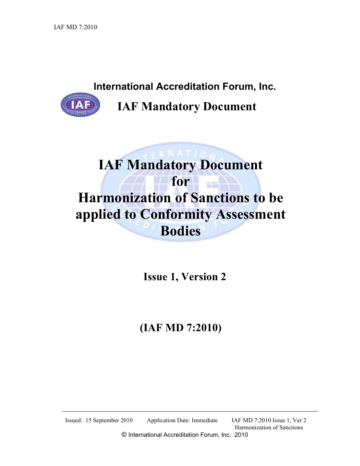International Accreditation Forum, Inc.



IAF Mandatory Document

# $\overline{\mathbf{R}}$  N A T I  $\mathbf{A}$ IAF Mandatory Document for **for** Harmonization of Sanctions to be applied to Conformity Assessment Bodies

Issue 1, Version 2

## (IAF MD 7:2010)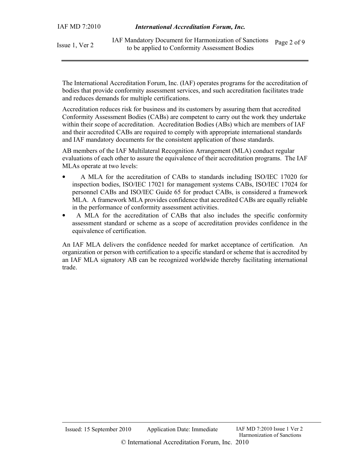| Issue 1, Ver 2 | 1AF Mandatory Document for Harmonization of Sanctions Page 2 of 9 |  |
|----------------|-------------------------------------------------------------------|--|
|                | to be applied to Conformity Assessment Bodies                     |  |

The International Accreditation Forum, Inc. (IAF) operates programs for the accreditation of bodies that provide conformity assessment services, and such accreditation facilitates trade and reduces demands for multiple certifications.

Accreditation reduces risk for business and its customers by assuring them that accredited Conformity Assessment Bodies (CABs) are competent to carry out the work they undertake within their scope of accreditation. Accreditation Bodies (ABs) which are members of IAF and their accredited CABs are required to comply with appropriate international standards and IAF mandatory documents for the consistent application of those standards.

AB members of the IAF Multilateral Recognition Arrangement (MLA) conduct regular evaluations of each other to assure the equivalence of their accreditation programs. The IAF MLAs operate at two levels:

- A MLA for the accreditation of CABs to standards including ISO/IEC 17020 for inspection bodies, ISO/IEC 17021 for management systems CABs, ISO/IEC 17024 for personnel CABs and ISO/IEC Guide 65 for product CABs, is considered a framework MLA. A framework MLA provides confidence that accredited CABs are equally reliable in the performance of conformity assessment activities.
- A MLA for the accreditation of CABs that also includes the specific conformity assessment standard or scheme as a scope of accreditation provides confidence in the equivalence of certification.

An IAF MLA delivers the confidence needed for market acceptance of certification. An organization or person with certification to a specific standard or scheme that is accredited by an IAF MLA signatory AB can be recognized worldwide thereby facilitating international trade.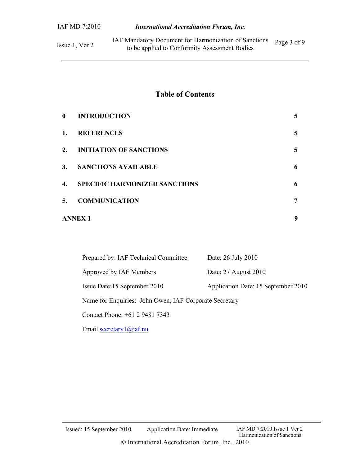Issue 1, Ver 2 IAF Mandatory Document for Harmonization of Sanctions to be applied to Conformity Assessment Bodies Page 3 of 9

## Table of Contents

| $\mathbf{0}$ | <b>INTRODUCTION</b>                  | 5 |
|--------------|--------------------------------------|---|
| 1.           | <b>REFERENCES</b>                    | 5 |
| 2.           | <b>INITIATION OF SANCTIONS</b>       | 5 |
| 3.           | <b>SANCTIONS AVAILABLE</b>           | 6 |
| 4.           | <b>SPECIFIC HARMONIZED SANCTIONS</b> | 6 |
| 5.           | <b>COMMUNICATION</b>                 | 7 |
|              | <b>ANNEX 1</b>                       |   |

| Prepared by: IAF Technical Committee                   | Date: 26 July 2010                  |  |  |  |
|--------------------------------------------------------|-------------------------------------|--|--|--|
| Approved by IAF Members                                | Date: 27 August 2010                |  |  |  |
| Issue Date:15 September 2010                           | Application Date: 15 September 2010 |  |  |  |
| Name for Enquiries: John Owen, IAF Corporate Secretary |                                     |  |  |  |
| Contact Phone: +61 2 9481 7343                         |                                     |  |  |  |

Email secretary 1@iaf.nu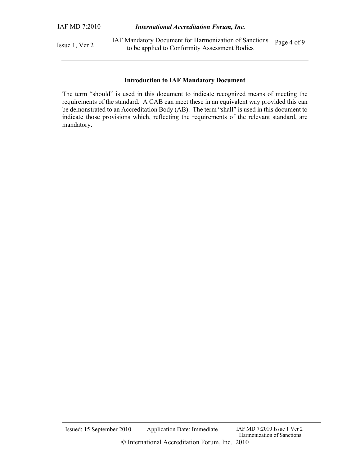Issue 1, Ver 2 IAF Mandatory Document for Harmonization of Sanctions to be applied to Conformity Assessment Bodies Page 4 of 9

#### Introduction to IAF Mandatory Document

The term "should" is used in this document to indicate recognized means of meeting the requirements of the standard. A CAB can meet these in an equivalent way provided this can be demonstrated to an Accreditation Body (AB). The term "shall" is used in this document to indicate those provisions which, reflecting the requirements of the relevant standard, are mandatory.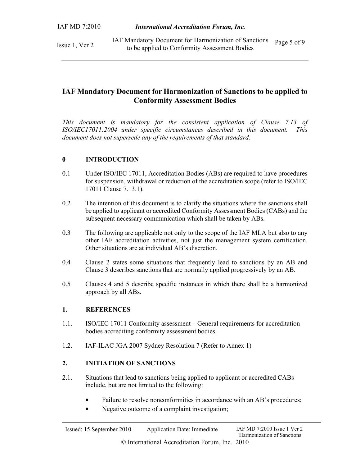Issue 1, Ver 2 IAF Mandatory Document for Harmonization of Sanctions to be applied to Conformity Assessment Bodies Page 5 of 9

## IAF Mandatory Document for Harmonization of Sanctions to be applied to Conformity Assessment Bodies

This document is mandatory for the consistent application of Clause 7.13 of ISO/IEC17011:2004 under specific circumstances described in this document. This document does not supersede any of the requirements of that standard.

#### 0 INTRODUCTION

- 0.1 Under ISO/IEC 17011, Accreditation Bodies (ABs) are required to have procedures for suspension, withdrawal or reduction of the accreditation scope (refer to ISO/IEC 17011 Clause 7.13.1).
- 0.2 The intention of this document is to clarify the situations where the sanctions shall be applied to applicant or accredited Conformity Assessment Bodies (CABs) and the subsequent necessary communication which shall be taken by ABs.
- 0.3 The following are applicable not only to the scope of the IAF MLA but also to any other IAF accreditation activities, not just the management system certification. Other situations are at individual AB's discretion.
- 0.4 Clause 2 states some situations that frequently lead to sanctions by an AB and Clause 3 describes sanctions that are normally applied progressively by an AB.
- 0.5 Clauses 4 and 5 describe specific instances in which there shall be a harmonized approach by all ABs.

#### 1. REFERENCES

- 1.1. ISO/IEC 17011 Conformity assessment General requirements for accreditation bodies accrediting conformity assessment bodies.
- 1.2. IAF-ILAC JGA 2007 Sydney Resolution 7 (Refer to Annex 1)

#### 2. INITIATION OF SANCTIONS

- 2.1. Situations that lead to sanctions being applied to applicant or accredited CABs include, but are not limited to the following:
	- Failure to resolve nonconformities in accordance with an AB's procedures;
	- Negative outcome of a complaint investigation;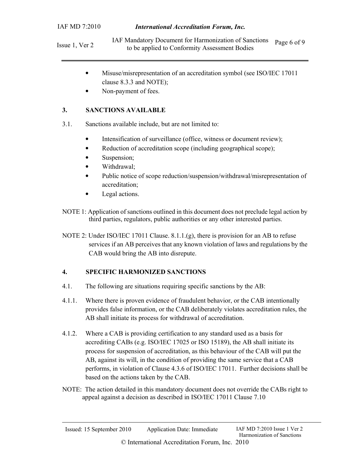Issue 1, Ver 2 IAF Mandatory Document for Harmonization of Sanctions to be applied to Conformity Assessment Bodies Page 6 of 9

- Misuse/misrepresentation of an accreditation symbol (see ISO/IEC 17011 clause 8.3.3 and NOTE);
- Non-payment of fees.

#### 3. SANCTIONS AVAILABLE

- 3.1. Sanctions available include, but are not limited to:
	- Intensification of surveillance (office, witness or document review);
	- Reduction of accreditation scope (including geographical scope);
	- Suspension;
	- Withdrawal;
	- Public notice of scope reduction/suspension/withdrawal/misrepresentation of accreditation;
	- Legal actions.
- NOTE 1: Application of sanctions outlined in this document does not preclude legal action by third parties, regulators, public authorities or any other interested parties.
- NOTE 2: Under ISO/IEC 17011 Clause. 8.1.1.(g), there is provision for an AB to refuse services if an AB perceives that any known violation of laws and regulations by the CAB would bring the AB into disrepute.

### 4. SPECIFIC HARMONIZED SANCTIONS

- 4.1. The following are situations requiring specific sanctions by the AB:
- 4.1.1. Where there is proven evidence of fraudulent behavior, or the CAB intentionally provides false information, or the CAB deliberately violates accreditation rules, the AB shall initiate its process for withdrawal of accreditation.
- 4.1.2. Where a CAB is providing certification to any standard used as a basis for accrediting CABs (e.g. ISO/IEC 17025 or ISO 15189), the AB shall initiate its process for suspension of accreditation, as this behaviour of the CAB will put the AB, against its will, in the condition of providing the same service that a CAB performs, in violation of Clause 4.3.6 of ISO/IEC 17011. Further decisions shall be based on the actions taken by the CAB.
- NOTE: The action detailed in this mandatory document does not override the CABs right to appeal against a decision as described in ISO/IEC 17011 Clause 7.10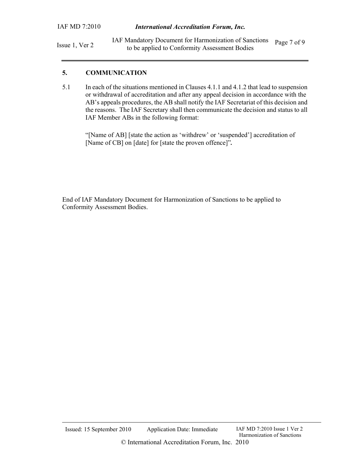Issue 1, Ver 2 IAF Mandatory Document for Harmonization of Sanctions to be applied to Conformity Assessment Bodies Page 7 of 9

#### 5. COMMUNICATION

5.1 In each of the situations mentioned in Clauses 4.1.1 and 4.1.2 that lead to suspension or withdrawal of accreditation and after any appeal decision in accordance with the AB's appeals procedures, the AB shall notify the IAF Secretariat of this decision and the reasons. The IAF Secretary shall then communicate the decision and status to all IAF Member ABs in the following format:

"[Name of AB] [state the action as 'withdrew' or 'suspended'] accreditation of [Name of CB] on [date] for [state the proven offence]".

End of IAF Mandatory Document for Harmonization of Sanctions to be applied to Conformity Assessment Bodies.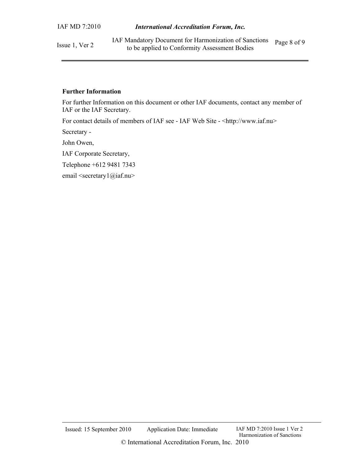Issue 1, Ver 2

#### Further Information

For further Information on this document or other IAF documents, contact any member of IAF or the IAF Secretary.

For contact details of members of IAF see - IAF Web Site - <http://www.iaf.nu>

Secretary -

John Owen,

IAF Corporate Secretary,

Telephone +612 9481 7343

email <secretary1@iaf.nu>